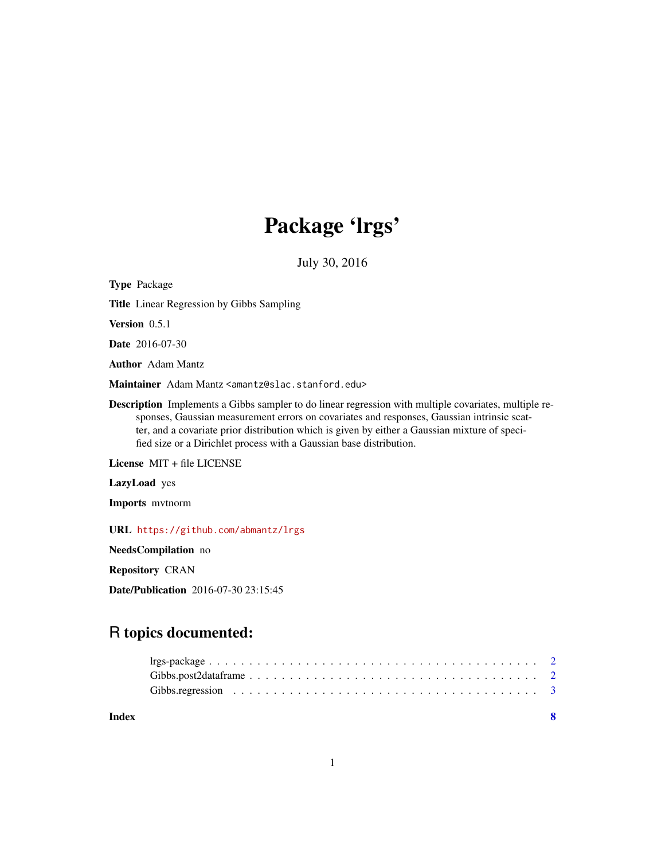## Package 'lrgs'

July 30, 2016

<span id="page-0-0"></span>Type Package Title Linear Regression by Gibbs Sampling Version 0.5.1 Date 2016-07-30 Author Adam Mantz Maintainer Adam Mantz <amantz@slac.stanford.edu> Description Implements a Gibbs sampler to do linear regression with multiple covariates, multiple responses, Gaussian measurement errors on covariates and responses, Gaussian intrinsic scatter, and a covariate prior distribution which is given by either a Gaussian mixture of specified size or a Dirichlet process with a Gaussian base distribution. License MIT + file LICENSE LazyLoad yes Imports mvtnorm URL <https://github.com/abmantz/lrgs> NeedsCompilation no

Repository CRAN

Date/Publication 2016-07-30 23:15:45

### R topics documented:

| Index |  |
|-------|--|
|       |  |
|       |  |
|       |  |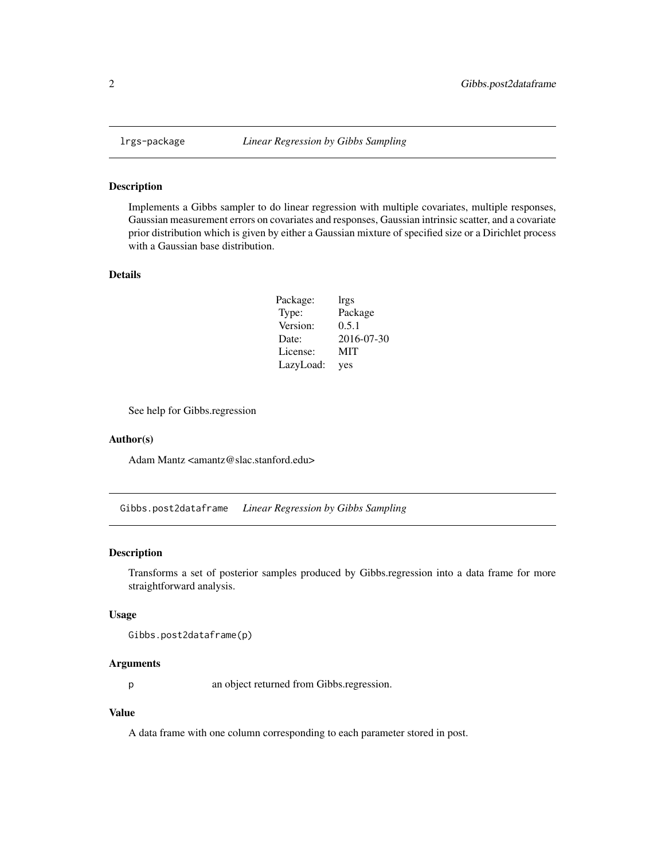<span id="page-1-0"></span>

#### Description

Implements a Gibbs sampler to do linear regression with multiple covariates, multiple responses, Gaussian measurement errors on covariates and responses, Gaussian intrinsic scatter, and a covariate prior distribution which is given by either a Gaussian mixture of specified size or a Dirichlet process with a Gaussian base distribution.

#### Details

| Package:  | lrgs       |
|-----------|------------|
| Type:     | Package    |
| Version:  | 0.5.1      |
| Date:     | 2016-07-30 |
| License:  | MIT        |
| LazyLoad: | yes        |

See help for Gibbs.regression

#### Author(s)

Adam Mantz <amantz@slac.stanford.edu>

Gibbs.post2dataframe *Linear Regression by Gibbs Sampling*

#### Description

Transforms a set of posterior samples produced by Gibbs.regression into a data frame for more straightforward analysis.

#### Usage

Gibbs.post2dataframe(p)

#### Arguments

p an object returned from Gibbs.regression.

#### Value

A data frame with one column corresponding to each parameter stored in post.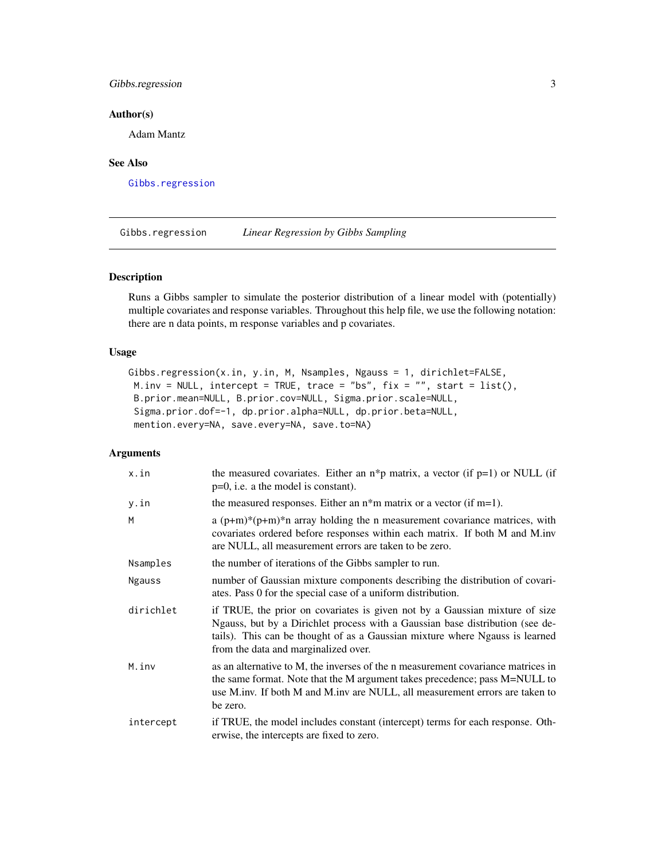#### <span id="page-2-0"></span>Gibbs.regression 3

#### Author(s)

Adam Mantz

#### See Also

[Gibbs.regression](#page-2-1)

<span id="page-2-1"></span>Gibbs.regression *Linear Regression by Gibbs Sampling*

#### Description

Runs a Gibbs sampler to simulate the posterior distribution of a linear model with (potentially) multiple covariates and response variables. Throughout this help file, we use the following notation: there are n data points, m response variables and p covariates.

#### Usage

```
Gibbs.regression(x.in, y.in, M, Nsamples, Ngauss = 1, dirichlet=FALSE,
 M.inv = NULL, intercept = TRUE, trace = "bs", fix = "", start = list(),
B.prior.mean=NULL, B.prior.cov=NULL, Sigma.prior.scale=NULL,
Sigma.prior.dof=-1, dp.prior.alpha=NULL, dp.prior.beta=NULL,
mention.every=NA, save.every=NA, save.to=NA)
```
#### Arguments

| x.in          | the measured covariates. Either an $n * p$ matrix, a vector (if $p=1$ ) or NULL (if<br>$p=0$ , i.e. a the model is constant).                                                                                                                                                        |
|---------------|--------------------------------------------------------------------------------------------------------------------------------------------------------------------------------------------------------------------------------------------------------------------------------------|
| y.in          | the measured responses. Either an $n*$ m matrix or a vector (if m=1).                                                                                                                                                                                                                |
| M             | a $(p+m)*(p+m)*n$ array holding the n measurement covariance matrices, with<br>covariates ordered before responses within each matrix. If both M and M.inv<br>are NULL, all measurement errors are taken to be zero.                                                                 |
| Nsamples      | the number of iterations of the Gibbs sampler to run.                                                                                                                                                                                                                                |
| <b>Ngauss</b> | number of Gaussian mixture components describing the distribution of covari-<br>ates. Pass 0 for the special case of a uniform distribution.                                                                                                                                         |
| dirichlet     | if TRUE, the prior on covariates is given not by a Gaussian mixture of size<br>Ngauss, but by a Dirichlet process with a Gaussian base distribution (see de-<br>tails). This can be thought of as a Gaussian mixture where Ngauss is learned<br>from the data and marginalized over. |
| M.inv         | as an alternative to M, the inverses of the n measurement covariance matrices in<br>the same format. Note that the M argument takes precedence; pass M=NULL to<br>use M.inv. If both M and M.inv are NULL, all measurement errors are taken to<br>be zero.                           |
| intercept     | if TRUE, the model includes constant (intercept) terms for each response. Oth-<br>erwise, the intercepts are fixed to zero.                                                                                                                                                          |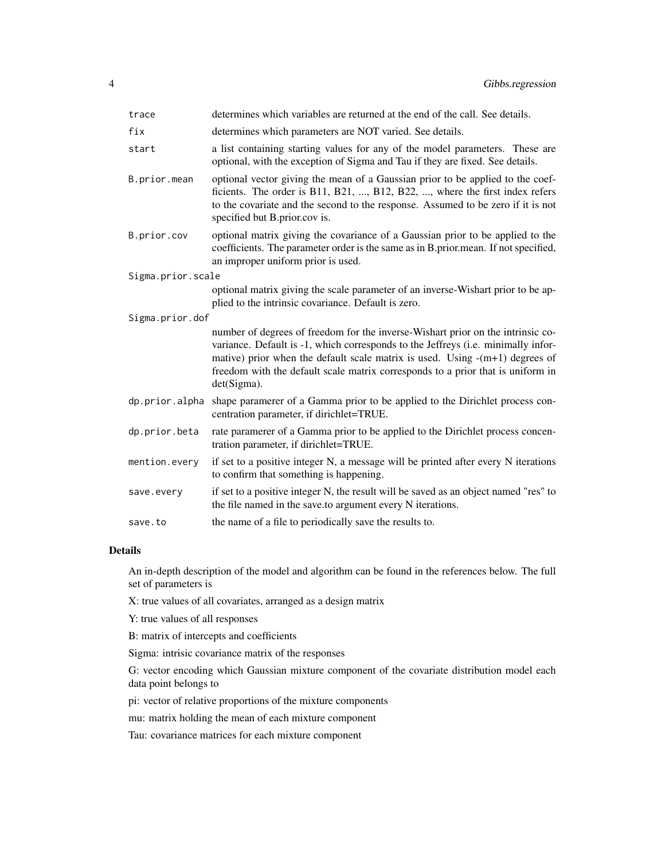| trace             | determines which variables are returned at the end of the call. See details.                                                                                                                                                                                                                                                                                |  |  |  |  |
|-------------------|-------------------------------------------------------------------------------------------------------------------------------------------------------------------------------------------------------------------------------------------------------------------------------------------------------------------------------------------------------------|--|--|--|--|
| fix               | determines which parameters are NOT varied. See details.                                                                                                                                                                                                                                                                                                    |  |  |  |  |
| start             | a list containing starting values for any of the model parameters. These are<br>optional, with the exception of Sigma and Tau if they are fixed. See details.                                                                                                                                                                                               |  |  |  |  |
| B.prior.mean      | optional vector giving the mean of a Gaussian prior to be applied to the coef-<br>ficients. The order is B11, B21, , B12, B22, , where the first index refers<br>to the covariate and the second to the response. Assumed to be zero if it is not<br>specified but B.prior.cov is.                                                                          |  |  |  |  |
| B.prior.cov       | optional matrix giving the covariance of a Gaussian prior to be applied to the<br>coefficients. The parameter order is the same as in B.prior.mean. If not specified,<br>an improper uniform prior is used.                                                                                                                                                 |  |  |  |  |
| Sigma.prior.scale |                                                                                                                                                                                                                                                                                                                                                             |  |  |  |  |
|                   | optional matrix giving the scale parameter of an inverse-Wishart prior to be ap-<br>plied to the intrinsic covariance. Default is zero.                                                                                                                                                                                                                     |  |  |  |  |
| Sigma.prior.dof   |                                                                                                                                                                                                                                                                                                                                                             |  |  |  |  |
|                   | number of degrees of freedom for the inverse-Wishart prior on the intrinsic co-<br>variance. Default is -1, which corresponds to the Jeffreys (i.e. minimally infor-<br>mative) prior when the default scale matrix is used. Using $-(m+1)$ degrees of<br>freedom with the default scale matrix corresponds to a prior that is uniform in<br>$det(Sigma)$ . |  |  |  |  |
| dp.prior.alpha    | shape paramerer of a Gamma prior to be applied to the Dirichlet process con-<br>centration parameter, if dirichlet=TRUE.                                                                                                                                                                                                                                    |  |  |  |  |
| dp.prior.beta     | rate paramerer of a Gamma prior to be applied to the Dirichlet process concen-<br>tration parameter, if dirichlet=TRUE.                                                                                                                                                                                                                                     |  |  |  |  |
| mention.every     | if set to a positive integer N, a message will be printed after every N iterations<br>to confirm that something is happening.                                                                                                                                                                                                                               |  |  |  |  |
| save.every        | if set to a positive integer N, the result will be saved as an object named "res" to<br>the file named in the save.to argument every N iterations.                                                                                                                                                                                                          |  |  |  |  |
| save.to           | the name of a file to periodically save the results to.                                                                                                                                                                                                                                                                                                     |  |  |  |  |

#### Details

An in-depth description of the model and algorithm can be found in the references below. The full set of parameters is

X: true values of all covariates, arranged as a design matrix

Y: true values of all responses

B: matrix of intercepts and coefficients

Sigma: intrisic covariance matrix of the responses

G: vector encoding which Gaussian mixture component of the covariate distribution model each data point belongs to

pi: vector of relative proportions of the mixture components

mu: matrix holding the mean of each mixture component

Tau: covariance matrices for each mixture component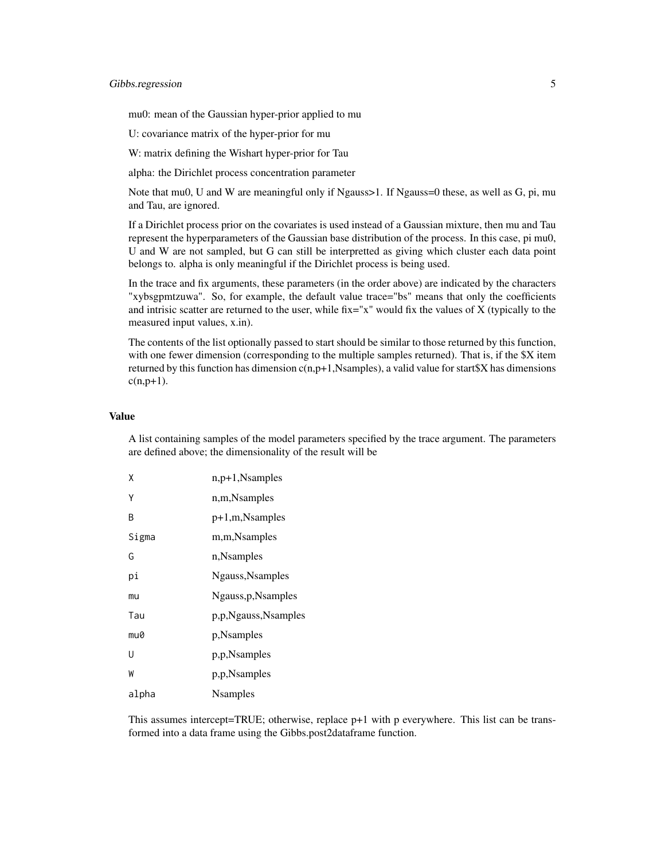#### Gibbs.regression 5

mu0: mean of the Gaussian hyper-prior applied to mu

U: covariance matrix of the hyper-prior for mu

W: matrix defining the Wishart hyper-prior for Tau

alpha: the Dirichlet process concentration parameter

Note that mu0, U and W are meaningful only if Ngauss>1. If Ngauss=0 these, as well as G, pi, mu and Tau, are ignored.

If a Dirichlet process prior on the covariates is used instead of a Gaussian mixture, then mu and Tau represent the hyperparameters of the Gaussian base distribution of the process. In this case, pi mu0, U and W are not sampled, but G can still be interpretted as giving which cluster each data point belongs to. alpha is only meaningful if the Dirichlet process is being used.

In the trace and fix arguments, these parameters (in the order above) are indicated by the characters "xybsgpmtzuwa". So, for example, the default value trace="bs" means that only the coefficients and intrisic scatter are returned to the user, while fix="x" would fix the values of  $X$  (typically to the measured input values, x.in).

The contents of the list optionally passed to start should be similar to those returned by this function, with one fewer dimension (corresponding to the multiple samples returned). That is, if the \$X item returned by this function has dimension  $c(n,p+1)$ , Nsamples), a valid value for start \$X has dimensions  $c(n,p+1)$ .

#### Value

A list containing samples of the model parameters specified by the trace argument. The parameters are defined above; the dimensionality of the result will be

| Χ     | n, p+1, Nsamples    |
|-------|---------------------|
| Υ     | n,m,Nsamples        |
| B     | $p+1,m$ , Nsamples  |
| Sigma | m,m,Nsamples        |
| G     | n, Nsamples         |
| рi    | Ngauss, Nsamples    |
| mu    | Ngauss, p, Nsamples |
| Tau   | p,p,Ngauss,Nsamples |
| mu0   | p, Nsamples         |
| U     | p,p,Nsamples        |
| W     | p,p,Nsamples        |
| alpha | <b>N</b> samples    |

This assumes intercept=TRUE; otherwise, replace  $p+1$  with p everywhere. This list can be transformed into a data frame using the Gibbs.post2dataframe function.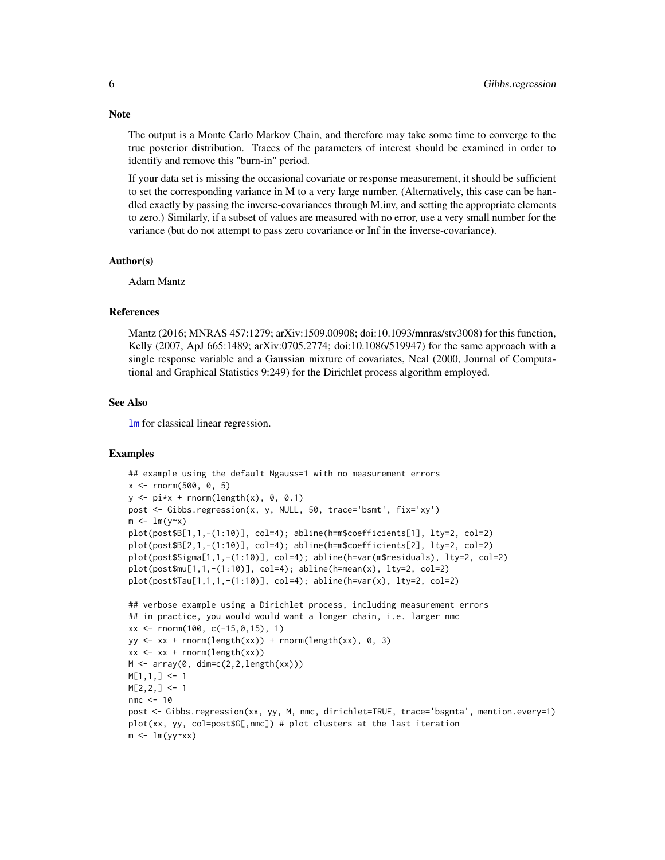The output is a Monte Carlo Markov Chain, and therefore may take some time to converge to the true posterior distribution. Traces of the parameters of interest should be examined in order to identify and remove this "burn-in" period.

If your data set is missing the occasional covariate or response measurement, it should be sufficient to set the corresponding variance in M to a very large number. (Alternatively, this case can be handled exactly by passing the inverse-covariances through M.inv, and setting the appropriate elements to zero.) Similarly, if a subset of values are measured with no error, use a very small number for the variance (but do not attempt to pass zero covariance or Inf in the inverse-covariance).

#### Author(s)

Adam Mantz

#### References

Mantz (2016; MNRAS 457:1279; arXiv:1509.00908; doi:10.1093/mnras/stv3008) for this function, Kelly (2007, ApJ 665:1489; arXiv:0705.2774; doi:10.1086/519947) for the same approach with a single response variable and a Gaussian mixture of covariates, Neal (2000, Journal of Computational and Graphical Statistics 9:249) for the Dirichlet process algorithm employed.

#### See Also

[lm](#page-0-0) for classical linear regression.

#### Examples

```
## example using the default Ngauss=1 with no measurement errors
x <- rnorm(500, 0, 5)
y \leftarrow pi*x + rnorm(length(x), 0, 0.1)post <- Gibbs.regression(x, y, NULL, 50, trace='bsmt', fix='xy')
m \leq -\ln(y \sim x)plot(post$B[1,1,-(1:10)], col=4); abline(h=m$coefficients[1], lty=2, col=2)
plot(post$B[2,1,-(1:10)], col=4); abline(h=m$coefficients[2], lty=2, col=2)
plot(post$Sigma[1,1,-(1:10)], col=4); abline(h=var(m$residuals), lty=2, col=2)
plot(post$mu[1,1,-(1:10)], col=4); abline(h=mean(x), lty=2, col=2)
plot(post$Tau[1,1,1,-(1:10)], col=4); abline(h=var(x), lty=2, col=2)## verbose example using a Dirichlet process, including measurement errors
## in practice, you would would want a longer chain, i.e. larger nmc
xx \le - rnorm(100, c(-15, 0, 15), 1)
yy <- xx + rnorm(length(xx)) + rnorm(length(xx), 0, 3)
xx \leq x \times + \text{norm}(\text{length}(xx))M \leftarrow \text{array}(0, \text{dim} = c(2, 2, \text{length}(xx)))M[1,1,] < -1M[2,2,] <- 1
nmc <- 10
post <- Gibbs.regression(xx, yy, M, nmc, dirichlet=TRUE, trace='bsgmta', mention.every=1)
plot(xx, yy, col=post$G[,nmc]) # plot clusters at the last iteration
m \leftarrow \text{lm}(yy \sim xx)
```
#### <span id="page-5-0"></span>**Note**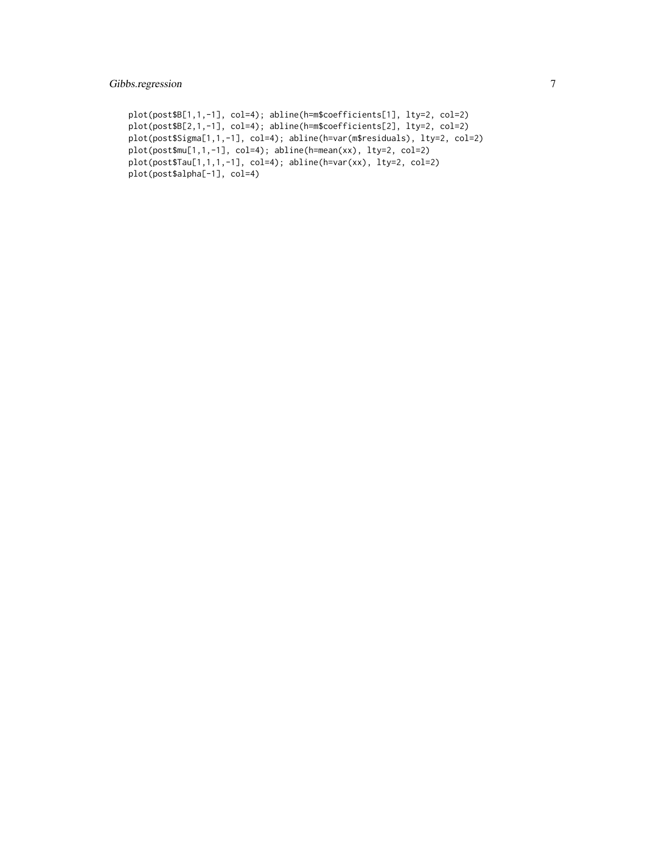#### Gibbs.regression 7

```
plot(post$B[1,1,-1], col=4); abline(h=m$coefficients[1], lty=2, col=2)
plot(post$B[2,1,-1], col=4); abline(h=m$coefficients[2], lty=2, col=2)
plot(post$Sigma[1,1,-1], col=4); abline(h=var(m$residuals), lty=2, col=2)
plot(post$mu[1,1,-1], col=4); abline(h=mean(xx), lty=2, col=2)
plot(post$Tau[1,1,1,-1], col=4); abline(h=var(xx), lty=2, col=2)
plot(post$alpha[-1], col=4)
```